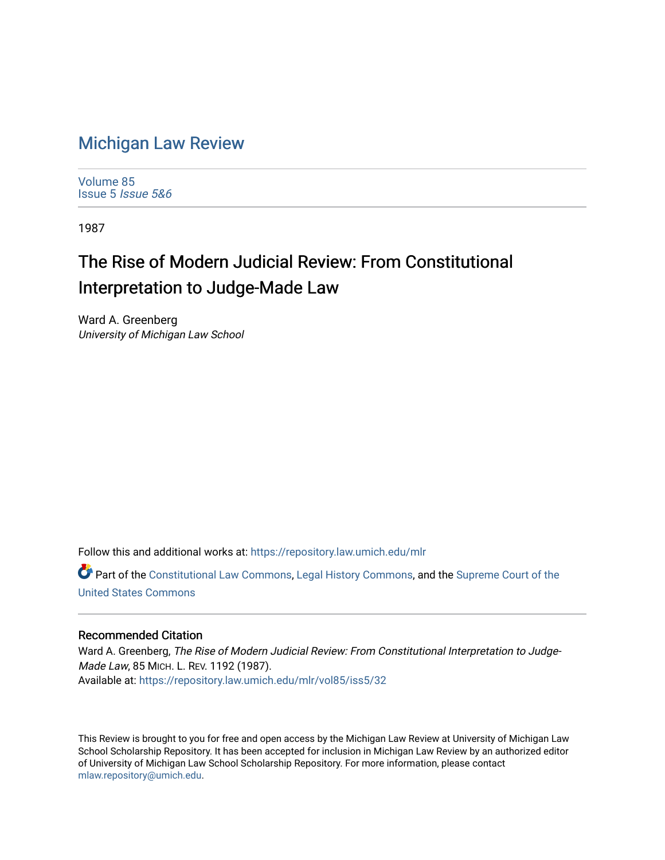## [Michigan Law Review](https://repository.law.umich.edu/mlr)

[Volume 85](https://repository.law.umich.edu/mlr/vol85) [Issue 5](https://repository.law.umich.edu/mlr/vol85/iss5) Issue 5&6

1987

## The Rise of Modern Judicial Review: From Constitutional Interpretation to Judge-Made Law

Ward A. Greenberg University of Michigan Law School

Follow this and additional works at: [https://repository.law.umich.edu/mlr](https://repository.law.umich.edu/mlr?utm_source=repository.law.umich.edu%2Fmlr%2Fvol85%2Fiss5%2F32&utm_medium=PDF&utm_campaign=PDFCoverPages) 

Part of the [Constitutional Law Commons,](http://network.bepress.com/hgg/discipline/589?utm_source=repository.law.umich.edu%2Fmlr%2Fvol85%2Fiss5%2F32&utm_medium=PDF&utm_campaign=PDFCoverPages) [Legal History Commons](http://network.bepress.com/hgg/discipline/904?utm_source=repository.law.umich.edu%2Fmlr%2Fvol85%2Fiss5%2F32&utm_medium=PDF&utm_campaign=PDFCoverPages), and the [Supreme Court of the](http://network.bepress.com/hgg/discipline/1350?utm_source=repository.law.umich.edu%2Fmlr%2Fvol85%2Fiss5%2F32&utm_medium=PDF&utm_campaign=PDFCoverPages) [United States Commons](http://network.bepress.com/hgg/discipline/1350?utm_source=repository.law.umich.edu%2Fmlr%2Fvol85%2Fiss5%2F32&utm_medium=PDF&utm_campaign=PDFCoverPages) 

## Recommended Citation

Ward A. Greenberg, The Rise of Modern Judicial Review: From Constitutional Interpretation to Judge-Made Law, 85 MICH. L. REV. 1192 (1987). Available at: [https://repository.law.umich.edu/mlr/vol85/iss5/32](https://repository.law.umich.edu/mlr/vol85/iss5/32?utm_source=repository.law.umich.edu%2Fmlr%2Fvol85%2Fiss5%2F32&utm_medium=PDF&utm_campaign=PDFCoverPages) 

This Review is brought to you for free and open access by the Michigan Law Review at University of Michigan Law School Scholarship Repository. It has been accepted for inclusion in Michigan Law Review by an authorized editor of University of Michigan Law School Scholarship Repository. For more information, please contact [mlaw.repository@umich.edu.](mailto:mlaw.repository@umich.edu)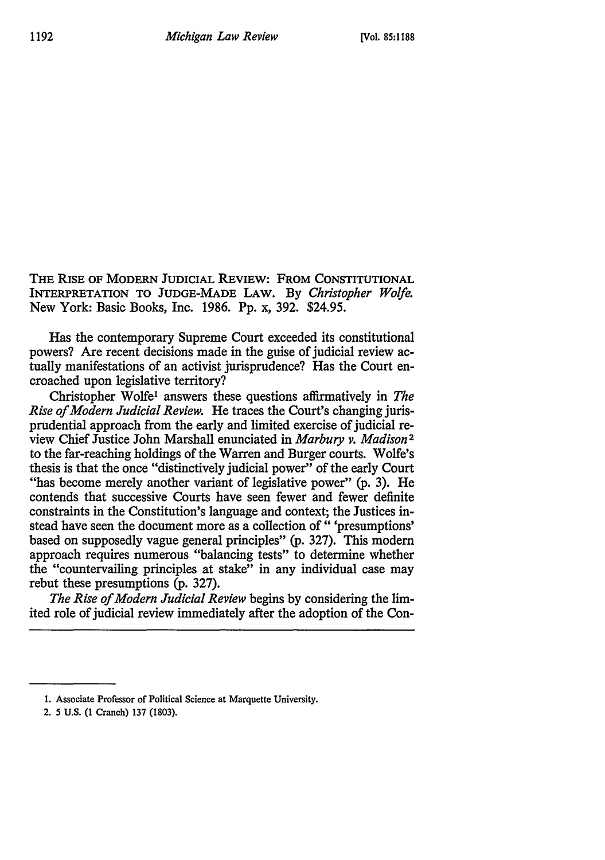THE RISE OF MODERN JUDICIAL REVIEW: FROM CONSTITUTIONAL INTERPRETATION TO JUDGE-MADE LAW. By *Christopher Wolfe.*  New York: Basic Books, Inc. 1986. Pp. x, 392. \$24.95.

Has the contemporary Supreme Court exceeded its constitutional powers? Are recent decisions made in the guise of judicial review actually manifestations of an activist jurisprudence? Has the Court encroached upon legislative territory?

Christopher Wolfe1 answers these questions affirmatively in *The Rise of Modern Judicial Review.* He traces the Court's changing jurisprudential approach from the early and limited exercise of judicial review Chief Justice John Marshall enunciated in *Marbury v. Madison <sup>2</sup>* to the far-reaching holdings of the Warren and Burger courts. Wolfe's thesis is that the once "distinctively judicial power" of the early Court "has become merely another variant of legislative power" (p. 3). He contends that successive Courts have seen fewer and fewer definite constraints in the Constitution's language and context; the Justices instead have seen the document more as a collection of " 'presumptions' based on supposedly vague general principles" (p. 327). This modem approach requires numerous "balancing tests" to determine whether the "countervailing principles at stake" in any individual case may rebut these presumptions (p. 327).

*The Rise of Modern Judicial Review* begins by considering the limited role of judicial review immediately after the adoption of the Con-

<sup>1.</sup> Associate Professor of Political Science at Marquette University.

<sup>2.</sup> *S* U.S. (1 Cranch) 137 (1803).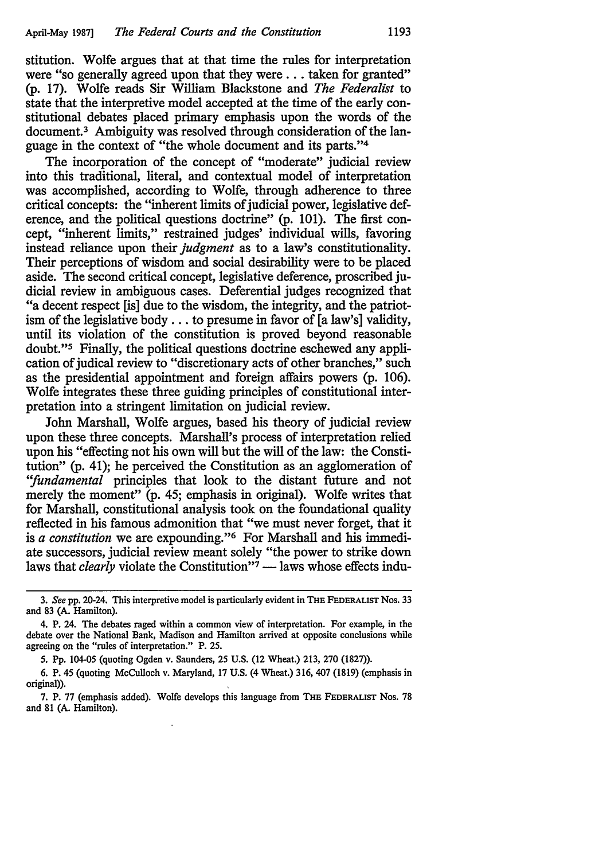stitution. Wolfe argues that at that time the rules for interpretation were "so generally agreed upon that they were ... taken for granted" (p. 17). Wolfe reads Sir William Blackstone and *The Federalist* to state that the interpretive model accepted at the time of the early constitutional debates placed primary emphasis upon the words of the document.<sup>3</sup> Ambiguity was resolved through consideration of the language in the context of "the whole document and its parts."4

The incorporation of the concept of "moderate" judicial review into this traditional, literal, and contextual model of interpretation was accomplished, according to Wolfe, through adherence to three critical concepts: the "inherent limits of judicial power, legislative deference, and the political questions doctrine" (p. 101). The first concept, "inherent limits," restrained judges' individual wills, favoring instead reliance upon their *judgment* as to a law's constitutionality. Their perceptions of wisdom and social desirability were to be placed aside. The second critical concept, legislative deference, proscribed judicial review in ambiguous cases. Deferential judges recognized that "a decent respect [is] due to the wisdom, the integrity, and the patriotism of the legislative body ... to presume in favor of [a law's] validity, until its violation of the constitution is proved beyond reasonable doubt."5 Finally, the political questions doctrine eschewed any application of judical review to "discretionary acts of other branches," such as the presidential appointment and foreign affairs powers (p. 106). Wolfe integrates these three guiding principles of constitutional interpretation into a stringent limitation on judicial review.

John Marshall, Wolfe argues, based his theory of judicial review upon these three concepts. Marshall's process of interpretation relied upon his "effecting not his own will but the will of the law: the Constitution" (p. 41); he perceived the Constitution as an agglomeration of *''fundamental* principles that look to the distant future and not merely the moment" (p. 45; emphasis in original). Wolfe writes that for Marshall, constitutional analysis took on the foundational quality reflected in his famous admonition that "we must never forget, that it is *a constitution* we are expounding."6 For Marshall and his immediate successors, judicial review meant solely "the power to strike down laws that *clearly* violate the Constitution" $\bar{7}$  - laws whose effects indu-

*5.* Pp. 104-05 (quoting Ogden v. Saunders, 25 U.S. (12 Wheat.) 213, 270 (1827)).

<sup>3.</sup> *See* pp. 20-24. This interpretive model is particularly evident in THE FEDERALIST Nos. 33 and 83 (A. Hamilton).

<sup>4.</sup> P. 24. The debates raged within a common view of interpretation. For example, in the debate over the National Bank, Madison and Hamilton arrived at opposite conclusions while agreeing on the "rules of interpretation." P. 25.

<sup>6.</sup> P. 45 (quoting McCulloch v. Maryland, 17 U.S. (4 Wheat.) 316, 407 (1819) (emphasis in original)).

<sup>7.</sup> P. 77 (emphasis added). Wolfe develops this language from THE FEDERALIST Nos. 78 and 81 (A. Hamilton).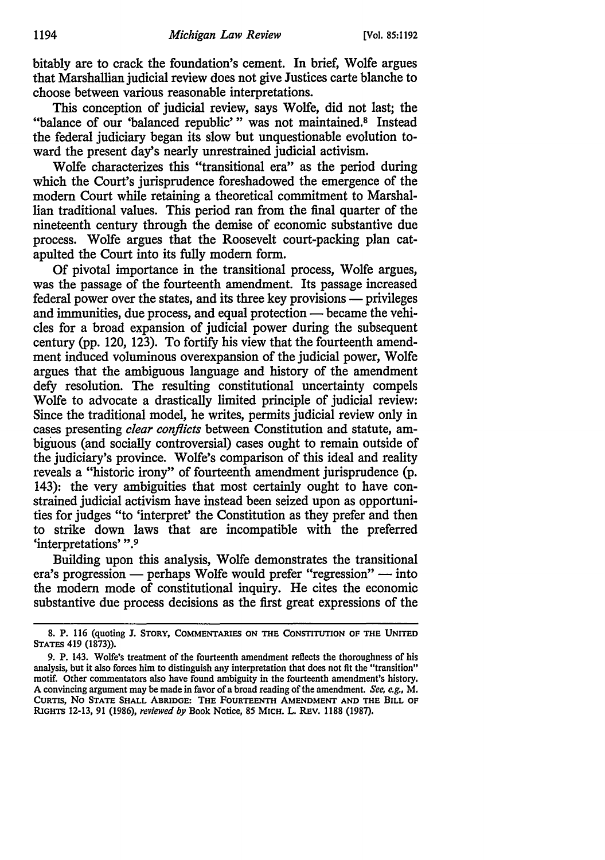bitably are to crack the foundation's cement. In brief, Wolfe argues that Marshallian judicial review does not give Justices carte blanche to choose between various reasonable interpretations.

This conception of judicial review, says Wolfe, did not last; the "balance of our 'balanced republic'" was not maintained.<sup>8</sup> Instead the federal judiciary began its slow but unquestionable evolution toward the present day's nearly unrestrained judicial activism.

Wolfe characterizes this "transitional era" as the period during which the Court's jurisprudence foreshadowed the emergence of the modem Court while retaining a theoretical commitment to Marshallian traditional values. This period ran from the final quarter of the nineteenth century through the demise of economic substantive due process. Wolfe argues that the Roosevelt court-packing plan catapulted the Court into its fully modem form.

Of pivotal importance in the transitional process, Wolfe argues, was the passage of the fourteenth amendment. Its passage increased federal power over the states, and its three key provisions — privileges and immunities, due process, and equal protection — became the vehicles for a broad expansion of judicial power during the subsequent century (pp. 120, 123). To fortify his view that the fourteenth amendment induced voluminous overexpansion of the judicial power, Wolfe argues that the ambiguous language and history of the amendment defy resolution. The resulting constitutional uncertainty compels Wolfe to advocate a drastically limited principle of judicial review: Since the traditional model, he writes, permits judicial review only in cases presenting *clear conflicts* between Constitution and statute, ambiguous (and socially controversial) cases ought to remain outside of the judiciary's province. Wolfe's comparison of this ideal and reality reveals a "historic irony" of fourteenth amendment jurisprudence (p. 143): the very ambiguities that most certainly ought to have constrained judicial activism have instead been seized upon as opportunities for judges "to 'interpret' the Constitution as they prefer and then to strike down laws that are incompatible with the preferred 'interpretations' ".9

Building upon this analysis, Wolfe demonstrates the transitional era's progression - perhaps Wolfe would prefer "regression" - into the modem mode of constitutional inquiry. He cites the economic substantive due process decisions as the first great expressions of the

<sup>8.</sup> P. 116 (quoting J. STORY, COMMENTARIES ON THE CONSTITUTION OF THE UNITED STATES 419 (1873)).

<sup>9.</sup> P. 143. Wolfe's treatment of the fourteenth amendment reflects the thoroughness of his analysis, but it also forces him to distinguish any interpretation that does not fit the "transition" motif. Other commentators also have found ambiguity in the fourteenth amendment's history. A convincing argument may be made in favor of a broad reading of the amendment. *See, e.g.,* M. CURTIS, No STATE SHALL ABRIDGE: THE FOURTEENTH AMENDMENT AND THE BILL OF RIGHTS 12-13, 91 (1986), *reviewed by* Book Notice, 85 MICH. L. REV. 1188 (1987).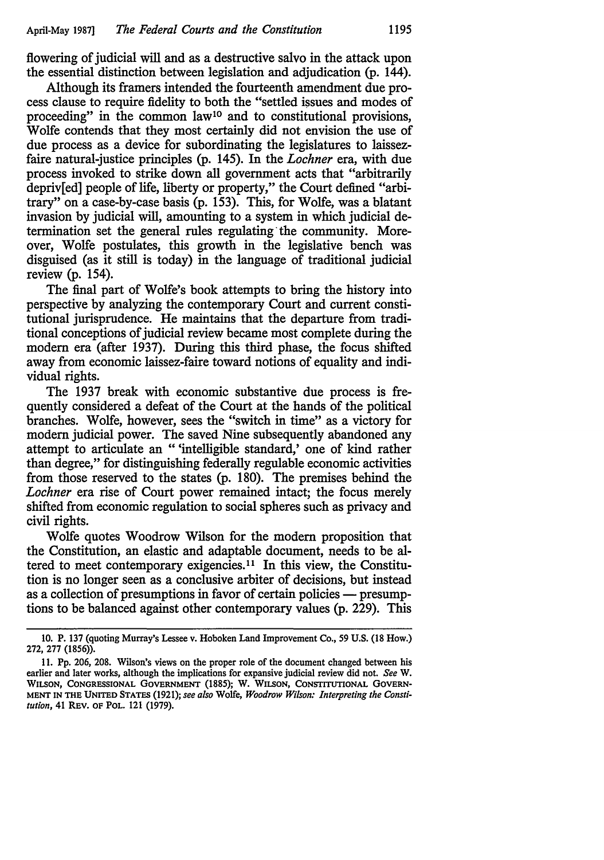flowering of judicial will and as a destructive salvo in the attack upon the essential distinction between legislation and adjudication (p. 144).

Although its framers intended the fourteenth amendment due process clause to require fidelity to both the "settled issues and modes of proceeding" in the common law<sup>10</sup> and to constitutional provisions, Wolfe contends that they most certainly did not envision the use of due process as a device for subordinating the legislatures to laissezfaire natural-justice principles (p. 145). In the *Lochner* era, with due process invoked to strike down all government acts that "arbitrarily depriv[ed] people of life, liberty or property," the Court defined "arbitrary" on a case-by-case basis (p. 153). This, for Wolfe, was a blatant invasion by judicial will, amounting to a system in which judicial determination set the general rules regulating the community. Moreover, Wolfe postulates, this growth in the legislative bench was disguised (as it still is today) in the language of traditional judicial review (p. 154).

The final part of Wolfe's book attempts to bring the history into perspective by analyzing the contemporary Court and current constitutional jurisprudence. He maintains that the departure from traditional conceptions of judicial review became most complete during the modem era (after 1937). During this third phase, the focus shifted away from economic laissez-faire toward notions of equality and individual rights.

The 1937 break with economic substantive due process is frequently considered a defeat of the Court at the hands of the political branches. Wolfe, however, sees the "switch in time" as a victory for modem judicial power. The saved Nine subsequently abandoned any attempt to articulate an " 'intelligible standard,' one of kind rather than degree," for distinguishing federally regulable economic activities from those reserved to the states (p. 180). The premises behind the *Lochner* era rise of Court power remained intact; the focus merely shifted from economic regulation to social spheres such as privacy and civil rights.

Wolfe quotes Woodrow Wilson for the modem proposition that the Constitution, an elastic and adaptable document, needs to be altered to meet contemporary exigencies. 11 In this view, the Constitution is no longer seen as a conclusive arbiter of decisions, but instead as a collection of presumptions in favor of certain policies — presumptions to be balanced against other contemporary values (p. 229). This

<sup>10.</sup> P. 137 (quoting Murray's Lessee v. Hoboken Land Improvement Co., 59 U.S. (18 How.) 272, 277 (1856)).

<sup>11.</sup> Pp. 206, 208. Wilson's views on the proper role of the document changed between his earlier and later works, although the implications for expansive judicial review did not. *See* W. WILSON, CONGRESSIONAL GOVERNMENT (1885); W. WILSON, CoNSTITUTIONAL GOVERN-MENT IN THE UNITED STATES (1921); *see also* Wolfe, *Woodrow Wilson: Interpreting the Constitution,* 41 REV. OF POL. 121 (1979).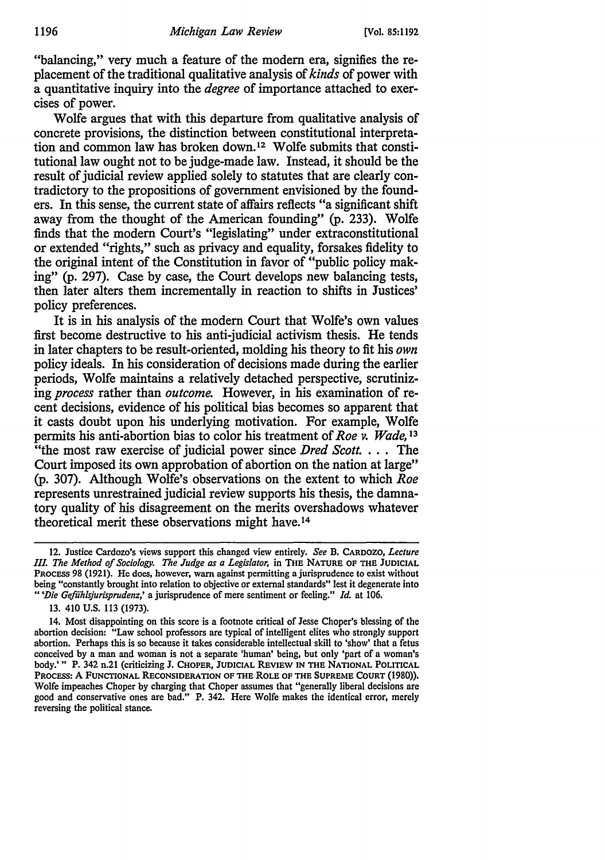"balancing," very much a feature of the modern era, signifies the replacement of the traditional qualitative analysis of *kinds* of power with a quantitative inquiry into the *degree* of importance attached to exercises of power.

Wolfe argues that with this departure from qualitative analysis of concrete provisions, the distinction between constitutional interpretation and common law has broken down. 12 Wolfe submits that constitutional law ought not to be judge-made law. Instead, it should be the result of judicial review applied solely to statutes that are clearly contradictory to the propositions of government envisioned by the founders. In this sense, the current state of affairs reflects "a significant shift away from the thought of the American founding" (p. 233). Wolfe finds that the modern Court's "legislating" under extraconstitutional or extended "rights," such as privacy and equality, forsakes fidelity to the original intent of the Constitution in favor of "public policy making" (p. 297). Case by case, the Court develops new balancing tests, then later alters them incrementally in reaction to shifts in Justices' policy preferences.

It is in his analysis of the modern Court that Wolfe's own values first become destructive to his anti-judicial activism thesis. He tends in later chapters to be result-oriented, molding his theory to fit his *own*  policy ideals. In his consideration of decisions made during the earlier periods, Wolfe maintains a relatively detached perspective, scrutinizing *process* rather than *outcome.* However, in his examination of recent decisions, evidence of his political bias becomes so apparent that it casts doubt upon his underlying motivation. For example, Wolfe permits his anti-abortion bias to color his treatment of *Roe v. Wade,* <sup>13</sup> "the most raw exercise of judicial power since *Dred Scott.* . . . The Court imposed its own approbation of abortion on the nation at large" (p. 307). Although Wolfe's observations on the extent to which *Roe*  represents unrestrained judicial review supports his thesis, the damnatory quality of his disagreement on the merits overshadows whatever theoretical merit these observations might have.14

<sup>12.</sup> Justice Cardozo's views support this changed view entirely. *See* B. CARDOZO, *Lecture /IL The Method of Sociology. The Judge as a Legislator,* in THE NATURE OF THE JUDICIAL PROCESS 98 (1921). He does, however, warn against permitting a jurisprudence to exist without being "constantly brought into relation to objective or external standards" lest it degenerate into " *'Die Gefiih/sjurisprudenz,'* a jurisprudence of mere sentiment or feeling." *Id.* at 106.

<sup>13. 410</sup> U.S. 113 (1973).

<sup>14.</sup> Most disappointing on this score is a footnote critical of Jesse Choper's blessing of the abortion decision: "Law school professors are typical of intelligent elites who strongly support abortion. Perhaps this is so because it takes considerable intellectual skill to 'show' that a fetus conceived by a man and woman is not a separate 'human' being, but only 'part of a woman's body.'" P. 342 n.21 (criticizing J. CHOPER, JUDICIAL REVIEW IN THE NATIONAL POLITICAL PROCESS: A FUNCTIONAL RECONSIDERATION OF THE ROLE OF THE SUPREME COURT (1980)), Wolfe impeaches Choper by charging that Choper assumes that "generally liberal decisions are good and conservative ones are bad.'' P. 342. Here Wolfe makes the identical error, merely reversing the political stance.